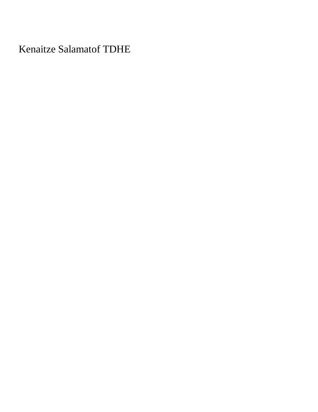Kenaitze Salamatof TDHE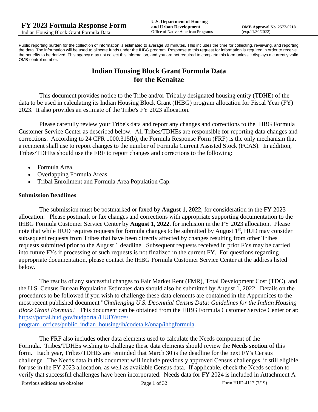Public reporting burden for the collection of information is estimated to average 30 minutes. This includes the time for collecting, reviewing, and reporting the data. The information will be used to allocate funds under the IHBG program. Response to this request for information is required in order to receive the benefits to be derived. This agency may not collect this information, and you are not required to complete this form unless it displays a currently valid OMB control number.

# **Indian Housing Block Grant Formula Data for the Kenaitze**

This document provides notice to the Tribe and/or Tribally designated housing entity (TDHE) of the data to be used in calculating its Indian Housing Block Grant (IHBG) program allocation for Fiscal Year (FY) 2023. It also provides an estimate of the Tribe's FY 2023 allocation.

Please carefully review your Tribe's data and report any changes and corrections to the IHBG Formula Customer Service Center as described below. All Tribes/TDHEs are responsible for reporting data changes and corrections. According to 24 CFR 1000.315(b), the Formula Response Form (FRF) is the only mechanism that a recipient shall use to report changes to the number of Formula Current Assisted Stock (FCAS). In addition, Tribes/TDHEs should use the FRF to report changes and corrections to the following:

- Formula Area.
- Overlapping Formula Areas.
- Tribal Enrollment and Formula Area Population Cap.

#### **Submission Deadlines**

The submission must be postmarked or faxed by **August 1, 2022**, for consideration in the FY 2023 allocation. Please postmark or fax changes and corrections with appropriate supporting documentation to the IHBG Formula Customer Service Center by **August 1, 2022**, for inclusion in the FY 2023 allocation. Please note that while HUD requires requests for formula changes to be submitted by August 1<sup>st</sup>, HUD may consider subsequent requests from Tribes that have been directly affected by changes resulting from other Tribes' requests submitted prior to the August 1 deadline. Subsequent requests received in prior FYs may be carried into future FYs if processing of such requests is not finalized in the current FY. For questions regarding appropriate documentation, please contact the IHBG Formula Customer Service Center at the address listed below.

The results of any successful changes to Fair Market Rent (FMR), Total Development Cost (TDC), and the U.S. Census Bureau Population Estimates data should also be submitted by August 1, 2022. Details on the procedures to be followed if you wish to challenge these data elements are contained in the Appendices to the most recent published document "*Challenging U.S. Decennial Census Data: Guidelines for the Indian Housing Block Grant Formula.*" This document can be obtained from the IHBG Formula Customer Service Center or at: [https://portal.hud.gov/hudportal/HUD?src=/](https://portal.hud.gov/hudportal/HUD?src=/program_offices/public_indian_housing/ih/codetalk/onap/ihbgformula) 

[program\\_offices/public\\_indian\\_housing/ih/codetalk/onap/ihbgformula.](https://portal.hud.gov/hudportal/HUD?src=/program_offices/public_indian_housing/ih/codetalk/onap/ihbgformula)

The FRF also includes other data elements used to calculate the Needs component of the Formula. Tribes/TDHEs wishing to challenge these data elements should review the **Needs section** of this form. Each year, Tribes/TDHEs are reminded that March 30 is the deadline for the next FY's Census challenge. The Needs data in this document will include previously approved Census challenges, if still eligible for use in the FY 2023 allocation, as well as available Census data. If applicable, check the Needs section to verify that successful challenges have been incorporated. Needs data for FY 2024 is included in Attachment A

Previous editions are obsolete Page 1 of 32 Form HUD-4117 (7/19)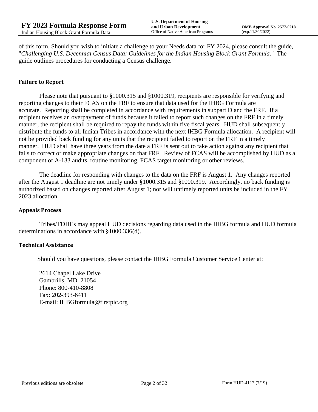of this form. Should you wish to initiate a challenge to your Needs data for FY 2024, please consult the guide, "*Challenging U.S. Decennial Census Data: Guidelines for the Indian Housing Block Grant Formula.*" The guide outlines procedures for conducting a Census challenge.

### **Failure to Report**

Please note that pursuant to §1000.315 and §1000.319, recipients are responsible for verifying and reporting changes to their FCAS on the FRF to ensure that data used for the IHBG Formula are accurate. Reporting shall be completed in accordance with requirements in subpart D and the FRF. If a recipient receives an overpayment of funds because it failed to report such changes on the FRF in a timely manner, the recipient shall be required to repay the funds within five fiscal years. HUD shall subsequently distribute the funds to all Indian Tribes in accordance with the next IHBG Formula allocation. A recipient will not be provided back funding for any units that the recipient failed to report on the FRF in a timely manner. HUD shall have three years from the date a FRF is sent out to take action against any recipient that fails to correct or make appropriate changes on that FRF. Review of FCAS will be accomplished by HUD as a component of A-133 audits, routine monitoring, FCAS target monitoring or other reviews.

The deadline for responding with changes to the data on the FRF is August 1. Any changes reported after the August 1 deadline are not timely under §1000.315 and §1000.319. Accordingly, no back funding is authorized based on changes reported after August 1; nor will untimely reported units be included in the FY 2023 allocation.

#### **Appeals Process**

Tribes/TDHEs may appeal HUD decisions regarding data used in the IHBG formula and HUD formula determinations in accordance with §1000.336(d).

#### **Technical Assistance**

Should you have questions, please contact the IHBG Formula Customer Service Center at:

2614 Chapel Lake Drive Gambrills, MD 21054 Phone: 800-410-8808 Fax: 202-393-6411 E-mail: IHBGformula@firstpic.org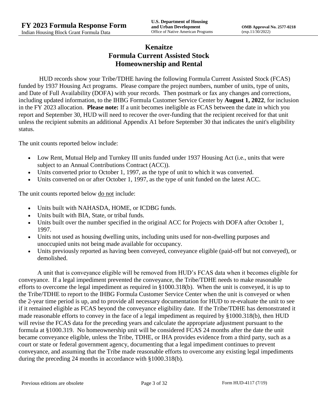# **Kenaitze Formula Current Assisted Stock Homeownership and Rental**

HUD records show your Tribe/TDHE having the following Formula Current Assisted Stock (FCAS) funded by 1937 Housing Act programs. Please compare the project numbers, number of units, type of units, and Date of Full Availability (DOFA) with your records. Then postmark or fax any changes and corrections, including updated information, to the IHBG Formula Customer Service Center by **August 1, 2022**, for inclusion in the FY 2023 allocation. **Please note:** If a unit becomes ineligible as FCAS between the date in which you report and September 30, HUD will need to recover the over-funding that the recipient received for that unit unless the recipient submits an additional Appendix A1 before September 30 that indicates the unit's eligibility status.

The unit counts reported below include:

- Low Rent, Mutual Help and Turnkey III units funded under 1937 Housing Act (i.e., units that were subject to an Annual Contributions Contract (ACC)).
- Units converted prior to October 1, 1997, as the type of unit to which it was converted.
- Units converted on or after October 1, 1997, as the type of unit funded on the latest ACC.

The unit counts reported below <u>do not</u> include:

- Units built with NAHASDA, HOME, or ICDBG funds.
- Units built with BIA, State, or tribal funds.
- Units built over the number specified in the original ACC for Projects with DOFA after October 1, 1997.
- Units not used as housing dwelling units, including units used for non-dwelling purposes and unoccupied units not being made available for occupancy.
- Units previously reported as having been conveyed, conveyance eligible (paid-off but not conveyed), or demolished.

A unit that is conveyance eligible will be removed from HUD's FCAS data when it becomes eligible for conveyance. If a legal impediment prevented the conveyance, the Tribe/TDHE needs to make reasonable efforts to overcome the legal impediment as required in §1000.318(b). When the unit is conveyed, it is up to the Tribe/TDHE to report to the IHBG Formula Customer Service Center when the unit is conveyed or when the 2-year time period is up, and to provide all necessary documentation for HUD to re-evaluate the unit to see if it remained eligible as FCAS beyond the conveyance eligibility date. If the Tribe/TDHE has demonstrated it made reasonable efforts to convey in the face of a legal impediment as required by §1000.318(b), then HUD will revise the FCAS data for the preceding years and calculate the appropriate adjustment pursuant to the formula at §1000.319. No homeownership unit will be considered FCAS 24 months after the date the unit became conveyance eligible, unless the Tribe, TDHE, or IHA provides evidence from a third party, such as a court or state or federal government agency, documenting that a legal impediment continues to prevent conveyance, and assuming that the Tribe made reasonable efforts to overcome any existing legal impediments during the preceding 24 months in accordance with §1000.318(b).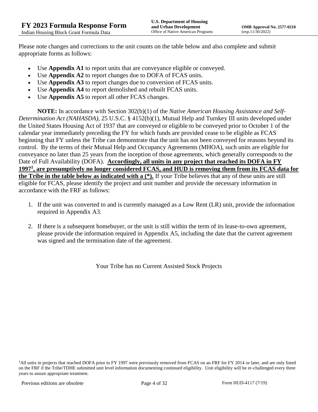Please note changes and corrections to the unit counts on the table below and also complete and submit appropriate forms as follows:

- Use **Appendix A1** to report units that are conveyance eligible or conveyed.
- Use **Appendix A2** to report changes due to DOFA of FCAS units.
- Use **Appendix A3** to report changes due to conversion of FCAS units.
- Use **Appendix A4** to report demolished and rebuilt FCAS units.
- Use **Appendix A5** to report all other FCAS changes.

**NOTE:** In accordance with Section 302(b)(1) of the *Native American Housing Assistance and Self-Determination Act (NAHASDA)*, 25 U.S.C. § 4152(b)(1), Mutual Help and Turnkey III units developed under the United States Housing Act of 1937 that are conveyed or eligible to be conveyed prior to October 1 of the calendar year immediately preceding the FY for which funds are provided cease to be eligible as FCAS beginning that FY unless the Tribe can demonstrate that the unit has not been conveyed for reasons beyond its control. By the terms of their Mutual Help and Occupancy Agreements (MHOA), such units are eligible for conveyance no later than 25 years from the inception of those agreements, which generally corresponds to the Date of Full Availability (DOFA). **Accordingly, all units in any project that reached its DOFA in FY 1997<sup>1</sup> , are presumptively no longer considered FCAS, and HUD is removing them from its FCAS data for the Tribe in the table below as indicated with a (\*).** If your Tribe believes that any of these units are still eligible for FCAS, please identify the project and unit number and provide the necessary information in accordance with the FRF as follows:

- 1. If the unit was converted to and is currently managed as a Low Rent (LR) unit, provide the information required in Appendix A3.
- 2. If there is a subsequent homebuyer, or the unit is still within the term of its lease-to-own agreement, please provide the information required in Appendix A5, including the date that the current agreement was signed and the termination date of the agreement.

Your Tribe has no Current Assisted Stock Projects

<sup>1</sup>All units in projects that reached DOFA prior to FY 1997 were previously removed from FCAS on an FRF for FY 2014 or later, and are only listed on the FRF if the Tribe/TDHE submitted unit level information documenting continued eligibility. Unit eligibility will be re-challenged every three years to assure appropriate treatment.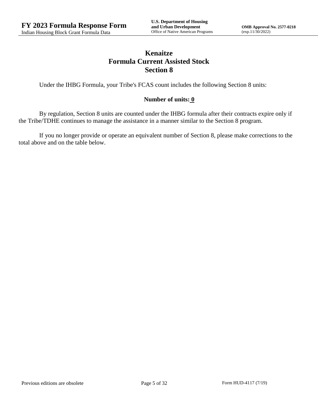# **Kenaitze Formula Current Assisted Stock Section 8**

Under the IHBG Formula, your Tribe's FCAS count includes the following Section 8 units:

### **Number of units: 0**

By regulation, Section 8 units are counted under the IHBG formula after their contracts expire only if the Tribe/TDHE continues to manage the assistance in a manner similar to the Section 8 program.

If you no longer provide or operate an equivalent number of Section 8, please make corrections to the total above and on the table below.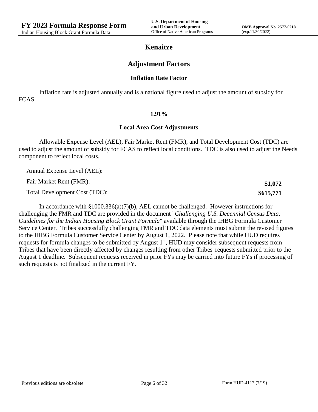**\$1,072 \$615,771**

## **Kenaitze**

## **Adjustment Factors**

#### **Inflation Rate Factor**

Inflation rate is adjusted annually and is a national figure used to adjust the amount of subsidy for FCAS.

#### **1.91%**

#### **Local Area Cost Adjustments**

Allowable Expense Level (AEL), Fair Market Rent (FMR), and Total Development Cost (TDC) are used to adjust the amount of subsidy for FCAS to reflect local conditions. TDC is also used to adjust the Needs component to reflect local costs.

Annual Expense Level (AEL):

Fair Market Rent (FMR):

Total Development Cost (TDC):

In accordance with §1000.336(a)(7)(b), AEL cannot be challenged. However instructions for challenging the FMR and TDC are provided in the document "*Challenging U.S. Decennial Census Data: Guidelines for the Indian Housing Block Grant Formula*" available through the IHBG Formula Customer Service Center. Tribes successfully challenging FMR and TDC data elements must submit the revised figures to the IHBG Formula Customer Service Center by August 1, 2022. Please note that while HUD requires requests for formula changes to be submitted by August 1<sup>st</sup>, HUD may consider subsequent requests from Tribes that have been directly affected by changes resulting from other Tribes' requests submitted prior to the August 1 deadline. Subsequent requests received in prior FYs may be carried into future FYs if processing of such requests is not finalized in the current FY.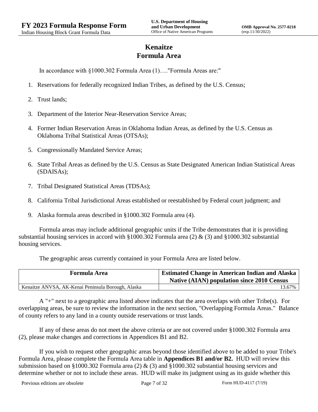# **Kenaitze Formula Area**

In accordance with §1000.302 Formula Area (1)…."Formula Areas are:"

- 1. Reservations for federally recognized Indian Tribes, as defined by the U.S. Census;
- 2. Trust lands;
- 3. Department of the Interior Near-Reservation Service Areas;
- 4. Former Indian Reservation Areas in Oklahoma Indian Areas, as defined by the U.S. Census as Oklahoma Tribal Statistical Areas (OTSAs);
- 5. Congressionally Mandated Service Areas;
- 6. State Tribal Areas as defined by the U.S. Census as State Designated American Indian Statistical Areas (SDAISAs);
- 7. Tribal Designated Statistical Areas (TDSAs);
- 8. California Tribal Jurisdictional Areas established or reestablished by Federal court judgment; and
- 9. Alaska formula areas described in §1000.302 Formula area (4).

Formula areas may include additional geographic units if the Tribe demonstrates that it is providing substantial housing services in accord with §1000.302 Formula area (2) & (3) and §1000.302 substantial housing services.

The geographic areas currently contained in your Formula Area are listed below.

| <b>Formula Area</b>                                | <b>Estimated Change in American Indian and Alaska</b><br><b>Native (AIAN) population since 2010 Census</b> |
|----------------------------------------------------|------------------------------------------------------------------------------------------------------------|
| Kenaitze ANVSA, AK-Kenai Peninsula Borough, Alaska | 13.67%                                                                                                     |

A "+" next to a geographic area listed above indicates that the area overlaps with other Tribe(s). For overlapping areas, be sure to review the information in the next section, "Overlapping Formula Areas." Balance of county refers to any land in a county outside reservations or trust lands.

If any of these areas do not meet the above criteria or are not covered under §1000.302 Formula area (2), please make changes and corrections in Appendices B1 and B2.

If you wish to request other geographic areas beyond those identified above to be added to your Tribe's Formula Area, please complete the Formula Area table in **Appendices B1 and/or B2.** HUD will review this submission based on §1000.302 Formula area (2) & (3) and §1000.302 substantial housing services and determine whether or not to include these areas. HUD will make its judgment using as its guide whether this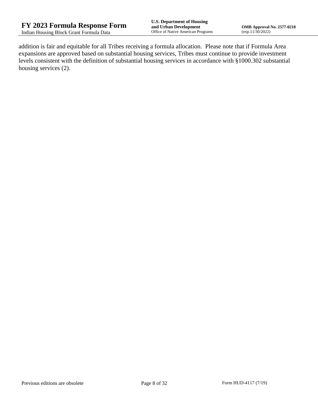addition is fair and equitable for all Tribes receiving a formula allocation. Please note that if Formula Area expansions are approved based on substantial housing services, Tribes must continue to provide investment levels consistent with the definition of substantial housing services in accordance with §1000.302 substantial housing services (2).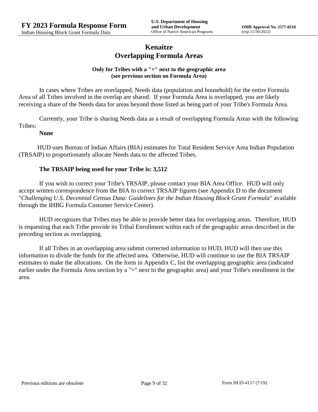# **Kenaitze Overlapping Formula Areas**

### **Only for Tribes with a "+" next to the geographic area (see previous section on Formula Area)**

In cases where Tribes are overlapped, Needs data (population and household) for the entire Formula Area of all Tribes involved in the overlap are shared. If your Formula Area is overlapped, you are likely receiving a share of the Needs data for areas beyond those listed as being part of your Tribe's Formula Area.

Currently, your Tribe is sharing Needs data as a result of overlapping Formula Areas with the following Tribes:

### **None**

HUD uses Bureau of Indian Affairs (BIA) estimates for Total Resident Service Area Indian Population (TRSAIP) to proportionately allocate Needs data to the affected Tribes.

### **The TRSAIP being used for your Tribe is: 3,512**

If you wish to correct your Tribe's TRSAIP, please contact your BIA Area Office. HUD will only accept written correspondence from the BIA to correct TRSAIP figures (see Appendix D to the document "*Challenging U.S. Decennial Census Data: Guidelines for the Indian Housing Block Grant Formula*" available through the IHBG Formula Customer Service Center).

HUD recognizes that Tribes may be able to provide better data for overlapping areas. Therefore, HUD is requesting that each Tribe provide its Tribal Enrollment within each of the geographic areas described in the preceding section as overlapping.

If all Tribes in an overlapping area submit corrected information to HUD, HUD will then use this information to divide the funds for the affected area. Otherwise, HUD will continue to use the BIA TRSAIP estimates to make the allocations. On the form in Appendix C, list the overlapping geographic area (indicated earlier under the Formula Area section by a "+" next to the geographic area) and your Tribe's enrollment in the area.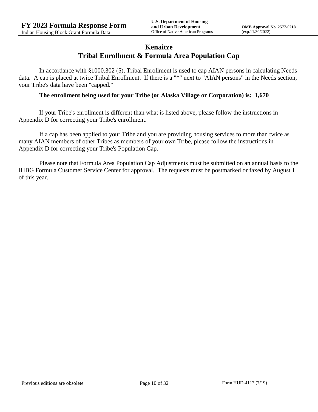## **Kenaitze Tribal Enrollment & Formula Area Population Cap**

In accordance with §1000.302 (5), Tribal Enrollment is used to cap AIAN persons in calculating Needs data. A cap is placed at twice Tribal Enrollment. If there is a "\*" next to "AIAN persons" in the Needs section, your Tribe's data have been "capped."

### **The enrollment being used for your Tribe (or Alaska Village or Corporation) is: 1,670**

If your Tribe's enrollment is different than what is listed above, please follow the instructions in Appendix D for correcting your Tribe's enrollment.

If a cap has been applied to your Tribe and you are providing housing services to more than twice as many AIAN members of other Tribes as members of your own Tribe, please follow the instructions in Appendix D for correcting your Tribe's Population Cap.

Please note that Formula Area Population Cap Adjustments must be submitted on an annual basis to the IHBG Formula Customer Service Center for approval. The requests must be postmarked or faxed by August 1 of this year.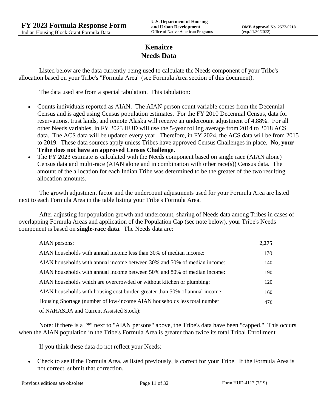# **Kenaitze Needs Data**

Listed below are the data currently being used to calculate the Needs component of your Tribe's allocation based on your Tribe's "Formula Area" (see Formula Area section of this document).

The data used are from a special tabulation. This tabulation:

- Counts individuals reported as AIAN. The AIAN person count variable comes from the Decennial Census and is aged using Census population estimates. For the FY 2010 Decennial Census, data for reservations, trust lands, and remote Alaska will receive an undercount adjustment of 4.88%. For all other Needs variables, in FY 2023 HUD will use the 5-year rolling average from 2014 to 2018 ACS data. The ACS data will be updated every year. Therefore, in FY 2024, the ACS data will be from 2015 to 2019. These data sources apply unless Tribes have approved Census Challenges in place. **No, your Tribe does not have an approved Census Challenge.**
- The FY 2023 estimate is calculated with the Needs component based on single race (AIAN alone) Census data and multi-race (AIAN alone and in combination with other race(s)) Census data. The amount of the allocation for each Indian Tribe was determined to be the greater of the two resulting allocation amounts.

The growth adjustment factor and the undercount adjustments used for your Formula Area are listed next to each Formula Area in the table listing your Tribe's Formula Area.

After adjusting for population growth and undercount, sharing of Needs data among Tribes in cases of overlapping Formula Areas and application of the Population Cap (see note below), your Tribe's Needs component is based on **single-race data**. The Needs data are:

| AIAN persons:                                                               | 2,275 |
|-----------------------------------------------------------------------------|-------|
| AIAN households with annual income less than 30% of median income:          | 170   |
| AIAN households with annual income between 30% and 50% of median income:    | 140   |
| AIAN households with annual income between 50% and 80% of median income:    | 190   |
| AIAN households which are overcrowded or without kitchen or plumbing:       | 120   |
| AIAN households with housing cost burden greater than 50% of annual income: | 160   |
| Housing Shortage (number of low-income AIAN households less total number    | 476   |
| of NAHASDA and Current Assisted Stock):                                     |       |

Note: If there is a "\*" next to "AIAN persons" above, the Tribe's data have been "capped." This occurs when the AIAN population in the Tribe's Formula Area is greater than twice its total Tribal Enrollment.

If you think these data do not reflect your Needs:

 Check to see if the Formula Area, as listed previously, is correct for your Tribe. If the Formula Area is not correct, submit that correction.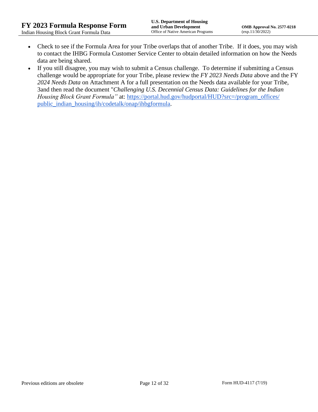- Check to see if the Formula Area for your Tribe overlaps that of another Tribe. If it does, you may wish to contact the IHBG Formula Customer Service Center to obtain detailed information on how the Needs data are being shared.
- If you still disagree, you may wish to submit a Census challenge. To determine if submitting a Census challenge would be appropriate for your Tribe, please review the *FY 2023 Needs Data* above and the FY *2024 Needs Data* on Attachment A for a full presentation on the Needs data available for your Tribe, 3and then read the document "*Challenging U.S. Decennial Census Data: Guidelines for the Indian Housing Block Grant Formula*" at: https://portal.hud.gov/hudportal/HUD?src=/program\_offices/ [public\\_indian\\_housing/ih/codetalk/onap/ihbgformula.](https://portal.hud.gov/hudportal/HUD?src=/program_offices/public_indian_housing/ih/codetalk/onap/ihbgformula)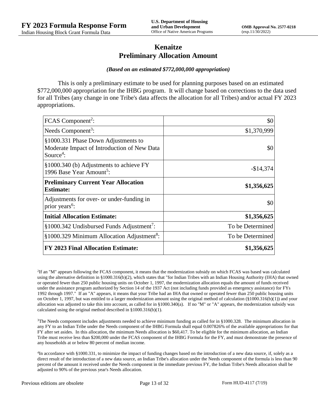## **Kenaitze Preliminary Allocation Amount**

#### *(Based on an estimated \$772,000,000 appropriation)*

This is only a preliminary estimate to be used for planning purposes based on an estimated \$772,000,000 appropriation for the IHBG program. It will change based on corrections to the data used for all Tribes (any change in one Tribe's data affects the allocation for all Tribes) and/or actual FY 2023 appropriations.

| FCAS Component <sup>2</sup> :                                                                               | \$0              |
|-------------------------------------------------------------------------------------------------------------|------------------|
| Needs Component <sup>3</sup> :                                                                              | \$1,370,999      |
| §1000.331 Phase Down Adjustments to<br>Moderate Impact of Introduction of New Data<br>Source <sup>4</sup> : | \$0              |
| §1000.340 (b) Adjustments to achieve FY<br>1996 Base Year Amount <sup>5</sup> :                             | $-$14,374$       |
| <b>Preliminary Current Year Allocation</b><br><b>Estimate:</b>                                              | \$1,356,625      |
| Adjustments for over- or under-funding in<br>prior years <sup>6</sup> :                                     | \$0              |
| <b>Initial Allocation Estimate:</b>                                                                         | \$1,356,625      |
| $§1000.342$ Undisbursed Funds Adjustment <sup>7</sup> :                                                     | To be Determined |
| §1000.329 Minimum Allocation Adjustment <sup>8</sup> :                                                      | To be Determined |
| <b>FY 2023 Final Allocation Estimate:</b>                                                                   | \$1,356,625      |

2 If an "M" appears following the FCAS component, it means that the modernization subsidy on which FCAS was based was calculated using the alternative definition in §1000.316(b)(2), which states that "for Indian Tribes with an Indian Housing Authority (IHA) that owned or operated fewer than 250 public housing units on October 1, 1997, the modernization allocation equals the amount of funds received under the assistance program authorized by Section 14 of the 1937 Act (not including funds provided as emergency assistance) for FYs 1992 through 1997." If an "A" appears, it means that your Tribe had an IHA that owned or operated fewer than 250 public housing units on October 1, 1997, but was entitled to a larger modernization amount using the original method of calculation (§1000.316(b)(1)) and your allocation was adjusted to take this into account, as called for in  $\S1000.340(a)$ . If no "M" or "A" appears, the modernization subsidy was calculated using the original method described in §1000.316(b)(1).

 $3$ The Needs component includes adjustments needed to achieve minimum funding as called for in §1000.328. The minimum allocation in any FY to an Indian Tribe under the Needs component of the IHBG Formula shall equal 0.007826% of the available appropriations for that FY after set asides. In this allocation, the minimum Needs allocation is \$60,417. To be eligible for the minimum allocation, an Indian Tribe must receive less than \$200,000 under the FCAS component of the IHBG Formula for the FY, and must demonstrate the presence of any households at or below 80 percent of median income.

4 In accordance with §1000.331, to minimize the impact of funding changes based on the introduction of a new data source, if, solely as a direct result of the introduction of a new data source, an Indian Tribe's allocation under the Needs component of the formula is less than 90 percent of the amount it received under the Needs component in the immediate previous FY, the Indian Tribe's Needs allocation shall be adjusted to 90% of the previous year's Needs allocation.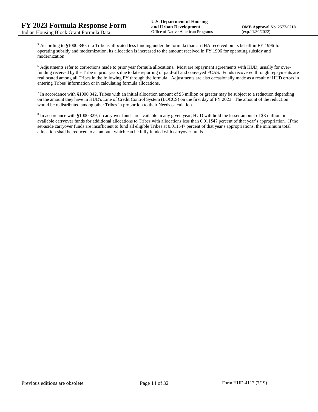<sup>5</sup> According to §1000.340, if a Tribe is allocated less funding under the formula than an IHA received on its behalf in FY 1996 for operating subsidy and modernization, its allocation is increased to the amount received in FY 1996 for operating subsidy and modernization.

<sup>6</sup> Adjustments refer to corrections made to prior year formula allocations. Most are repayment agreements with HUD, usually for overfunding received by the Tribe in prior years due to late reporting of paid-off and conveyed FCAS. Funds recovered through repayments are reallocated among all Tribes in the following FY through the formula. Adjustments are also occasionally made as a result of HUD errors in entering Tribes' information or in calculating formula allocations.

 $^7$  In accordance with §1000.342, Tribes with an initial allocation amount of \$5 million or greater may be subject to a reduction depending on the amount they have in HUD's Line of Credit Control System (LOCCS) on the first day of FY 2023. The amount of the reduction would be redistributed among other Tribes in proportion to their Needs calculation.

<sup>8</sup> In accordance with §1000.329, if carryover funds are available in any given year, HUD will hold the lesser amount of \$3 million or available carryover funds for additional allocations to Tribes with allocations less than 0.011547 percent of that year's appropriation. If the set-aside carryover funds are insufficient to fund all eligible Tribes at 0.011547 percent of that year's appropriations, the minimum total allocation shall be reduced to an amount which can be fully funded with carryover funds.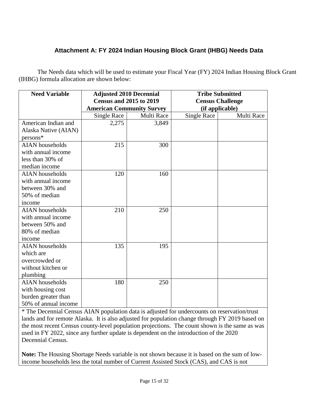# **Attachment A: FY 2024 Indian Housing Block Grant (IHBG) Needs Data**

The Needs data which will be used to estimate your Fiscal Year (FY) 2024 Indian Housing Block Grant (IHBG) formula allocation are shown below:

| <b>Need Variable</b>   | <b>Adjusted 2010 Decennial</b>                                     |            | <b>Tribe Submitted</b>                     |            |
|------------------------|--------------------------------------------------------------------|------------|--------------------------------------------|------------|
|                        | <b>Census and 2015 to 2019</b><br><b>American Community Survey</b> |            | <b>Census Challenge</b><br>(if applicable) |            |
|                        | Single Race                                                        | Multi Race | <b>Single Race</b>                         | Multi Race |
| American Indian and    | 2,275                                                              | 3,849      |                                            |            |
| Alaska Native (AIAN)   |                                                                    |            |                                            |            |
| $persons*$             |                                                                    |            |                                            |            |
| <b>AIAN</b> households | 215                                                                | 300        |                                            |            |
| with annual income     |                                                                    |            |                                            |            |
| less than 30% of       |                                                                    |            |                                            |            |
| median income          |                                                                    |            |                                            |            |
| <b>AIAN</b> households | 120                                                                | 160        |                                            |            |
| with annual income     |                                                                    |            |                                            |            |
| between 30% and        |                                                                    |            |                                            |            |
| 50% of median          |                                                                    |            |                                            |            |
| income                 |                                                                    |            |                                            |            |
| <b>AIAN</b> households | 210                                                                | 250        |                                            |            |
| with annual income     |                                                                    |            |                                            |            |
| between 50% and        |                                                                    |            |                                            |            |
| 80% of median          |                                                                    |            |                                            |            |
| income                 |                                                                    |            |                                            |            |
| <b>AIAN</b> households | 135                                                                | 195        |                                            |            |
| which are              |                                                                    |            |                                            |            |
| overcrowded or         |                                                                    |            |                                            |            |
| without kitchen or     |                                                                    |            |                                            |            |
| plumbing               |                                                                    |            |                                            |            |
| <b>AIAN</b> households | 180                                                                | 250        |                                            |            |
| with housing cost      |                                                                    |            |                                            |            |
| burden greater than    |                                                                    |            |                                            |            |
| 50% of annual income   |                                                                    |            |                                            |            |

\* The Decennial Census AIAN population data is adjusted for undercounts on reservation/trust lands and for remote Alaska. It is also adjusted for population change through FY 2019 based on the most recent Census county-level population projections. The count shown is the same as was used in FY 2022, since any further update is dependent on the introduction of the 2020 Decennial Census.

**Note:** The Housing Shortage Needs variable is not shown because it is based on the sum of lowincome households less the total number of Current Assisted Stock (CAS), and CAS is not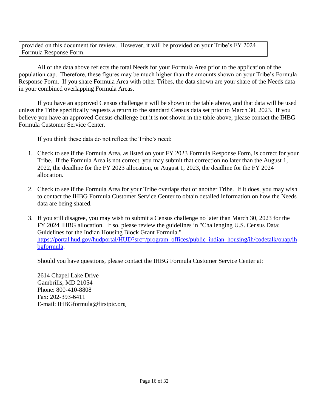provided on this document for review. However, it will be provided on your Tribe's FY 2024 Formula Response Form.

All of the data above reflects the total Needs for your Formula Area prior to the application of the population cap. Therefore, these figures may be much higher than the amounts shown on your Tribe's Formula Response Form. If you share Formula Area with other Tribes, the data shown are your share of the Needs data in your combined overlapping Formula Areas.

If you have an approved Census challenge it will be shown in the table above, and that data will be used unless the Tribe specifically requests a return to the standard Census data set prior to March 30, 2023. If you believe you have an approved Census challenge but it is not shown in the table above, please contact the IHBG Formula Customer Service Center.

If you think these data do not reflect the Tribe's need:

- 1. Check to see if the Formula Area, as listed on your FY 2023 Formula Response Form, is correct for your Tribe. If the Formula Area is not correct, you may submit that correction no later than the August 1, 2022, the deadline for the FY 2023 allocation, or August 1, 2023, the deadline for the FY 2024 allocation.
- 2. Check to see if the Formula Area for your Tribe overlaps that of another Tribe. If it does, you may wish to contact the IHBG Formula Customer Service Center to obtain detailed information on how the Needs data are being shared.
- 3. If you still disagree, you may wish to submit a Census challenge no later than March 30, 2023 for the FY 2024 IHBG allocation. If so, please review the guidelines in "Challenging U.S. Census Data: Guidelines for the Indian Housing Block Grant Formula." [https://portal.hud.gov/hudportal/HUD?src=/program\\_offices/public\\_indian\\_housing/ih/codetalk/onap/ih](https://portal.hud.gov/hudportal/HUD?src=/program_offices/public_indian_housing/ih/codetalk/onap/ihbgformula) [bgformula.](https://portal.hud.gov/hudportal/HUD?src=/program_offices/public_indian_housing/ih/codetalk/onap/ihbgformula)

Should you have questions, please contact the IHBG Formula Customer Service Center at:

2614 Chapel Lake Drive Gambrills, MD 21054 Phone: 800-410-8808 Fax: 202-393-6411 E-mail: IHBGformula@firstpic.org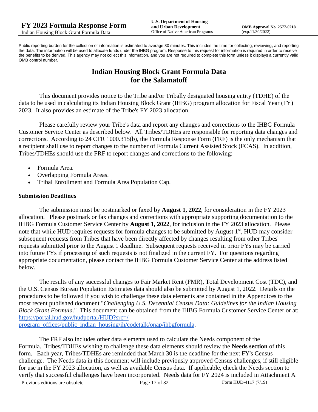Public reporting burden for the collection of information is estimated to average 30 minutes. This includes the time for collecting, reviewing, and reporting the data. The information will be used to allocate funds under the IHBG program. Response to this request for information is required in order to receive the benefits to be derived. This agency may not collect this information, and you are not required to complete this form unless it displays a currently valid OMB control number.

# **Indian Housing Block Grant Formula Data for the Salamatoff**

This document provides notice to the Tribe and/or Tribally designated housing entity (TDHE) of the data to be used in calculating its Indian Housing Block Grant (IHBG) program allocation for Fiscal Year (FY) 2023. It also provides an estimate of the Tribe's FY 2023 allocation.

Please carefully review your Tribe's data and report any changes and corrections to the IHBG Formula Customer Service Center as described below. All Tribes/TDHEs are responsible for reporting data changes and corrections. According to 24 CFR 1000.315(b), the Formula Response Form (FRF) is the only mechanism that a recipient shall use to report changes to the number of Formula Current Assisted Stock (FCAS). In addition, Tribes/TDHEs should use the FRF to report changes and corrections to the following:

- Formula Area.
- Overlapping Formula Areas.
- Tribal Enrollment and Formula Area Population Cap.

### **Submission Deadlines**

The submission must be postmarked or faxed by **August 1, 2022**, for consideration in the FY 2023 allocation. Please postmark or fax changes and corrections with appropriate supporting documentation to the IHBG Formula Customer Service Center by **August 1, 2022**, for inclusion in the FY 2023 allocation. Please note that while HUD requires requests for formula changes to be submitted by August 1<sup>st</sup>, HUD may consider subsequent requests from Tribes that have been directly affected by changes resulting from other Tribes' requests submitted prior to the August 1 deadline. Subsequent requests received in prior FYs may be carried into future FYs if processing of such requests is not finalized in the current FY. For questions regarding appropriate documentation, please contact the IHBG Formula Customer Service Center at the address listed below.

The results of any successful changes to Fair Market Rent (FMR), Total Development Cost (TDC), and the U.S. Census Bureau Population Estimates data should also be submitted by August 1, 2022. Details on the procedures to be followed if you wish to challenge these data elements are contained in the Appendices to the most recent published document "*Challenging U.S. Decennial Census Data: Guidelines for the Indian Housing Block Grant Formula.*" This document can be obtained from the IHBG Formula Customer Service Center or at: [https://portal.hud.gov/hudportal/HUD?src=/](https://portal.hud.gov/hudportal/HUD?src=/program_offices/public_indian_housing/ih/codetalk/onap/ihbgformula) 

[program\\_offices/public\\_indian\\_housing/ih/codetalk/onap/ihbgformula.](https://portal.hud.gov/hudportal/HUD?src=/program_offices/public_indian_housing/ih/codetalk/onap/ihbgformula)

Previous editions are obsolete Page 17 of 32 Form HUD-4117 (7/19) The FRF also includes other data elements used to calculate the Needs component of the Formula. Tribes/TDHEs wishing to challenge these data elements should review the **Needs section** of this form. Each year, Tribes/TDHEs are reminded that March 30 is the deadline for the next FY's Census challenge. The Needs data in this document will include previously approved Census challenges, if still eligible for use in the FY 2023 allocation, as well as available Census data. If applicable, check the Needs section to verify that successful challenges have been incorporated. Needs data for FY 2024 is included in Attachment A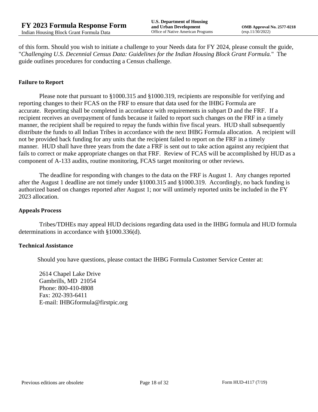of this form. Should you wish to initiate a challenge to your Needs data for FY 2024, please consult the guide, "*Challenging U.S. Decennial Census Data: Guidelines for the Indian Housing Block Grant Formula.*" The guide outlines procedures for conducting a Census challenge.

#### **Failure to Report**

Please note that pursuant to §1000.315 and §1000.319, recipients are responsible for verifying and reporting changes to their FCAS on the FRF to ensure that data used for the IHBG Formula are accurate. Reporting shall be completed in accordance with requirements in subpart D and the FRF. If a recipient receives an overpayment of funds because it failed to report such changes on the FRF in a timely manner, the recipient shall be required to repay the funds within five fiscal years. HUD shall subsequently distribute the funds to all Indian Tribes in accordance with the next IHBG Formula allocation. A recipient will not be provided back funding for any units that the recipient failed to report on the FRF in a timely manner. HUD shall have three years from the date a FRF is sent out to take action against any recipient that fails to correct or make appropriate changes on that FRF. Review of FCAS will be accomplished by HUD as a component of A-133 audits, routine monitoring, FCAS target monitoring or other reviews.

The deadline for responding with changes to the data on the FRF is August 1. Any changes reported after the August 1 deadline are not timely under §1000.315 and §1000.319. Accordingly, no back funding is authorized based on changes reported after August 1; nor will untimely reported units be included in the FY 2023 allocation.

#### **Appeals Process**

Tribes/TDHEs may appeal HUD decisions regarding data used in the IHBG formula and HUD formula determinations in accordance with §1000.336(d).

#### **Technical Assistance**

Should you have questions, please contact the IHBG Formula Customer Service Center at:

2614 Chapel Lake Drive Gambrills, MD 21054 Phone: 800-410-8808 Fax: 202-393-6411 E-mail: IHBGformula@firstpic.org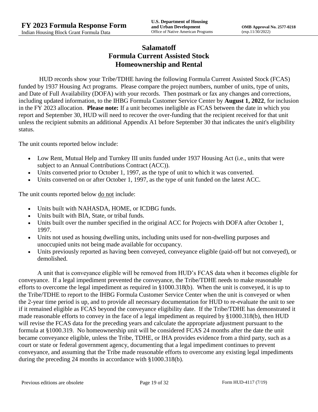# **Salamatoff Formula Current Assisted Stock Homeownership and Rental**

HUD records show your Tribe/TDHE having the following Formula Current Assisted Stock (FCAS) funded by 1937 Housing Act programs. Please compare the project numbers, number of units, type of units, and Date of Full Availability (DOFA) with your records. Then postmark or fax any changes and corrections, including updated information, to the IHBG Formula Customer Service Center by **August 1, 2022**, for inclusion in the FY 2023 allocation. **Please note:** If a unit becomes ineligible as FCAS between the date in which you report and September 30, HUD will need to recover the over-funding that the recipient received for that unit unless the recipient submits an additional Appendix A1 before September 30 that indicates the unit's eligibility status.

The unit counts reported below include:

- Low Rent, Mutual Help and Turnkey III units funded under 1937 Housing Act (i.e., units that were subject to an Annual Contributions Contract (ACC)).
- Units converted prior to October 1, 1997, as the type of unit to which it was converted.
- Units converted on or after October 1, 1997, as the type of unit funded on the latest ACC.

The unit counts reported below <u>do not</u> include:

- Units built with NAHASDA, HOME, or ICDBG funds.
- Units built with BIA, State, or tribal funds.
- Units built over the number specified in the original ACC for Projects with DOFA after October 1, 1997.
- Units not used as housing dwelling units, including units used for non-dwelling purposes and unoccupied units not being made available for occupancy.
- Units previously reported as having been conveyed, conveyance eligible (paid-off but not conveyed), or demolished.

A unit that is conveyance eligible will be removed from HUD's FCAS data when it becomes eligible for conveyance. If a legal impediment prevented the conveyance, the Tribe/TDHE needs to make reasonable efforts to overcome the legal impediment as required in §1000.318(b). When the unit is conveyed, it is up to the Tribe/TDHE to report to the IHBG Formula Customer Service Center when the unit is conveyed or when the 2-year time period is up, and to provide all necessary documentation for HUD to re-evaluate the unit to see if it remained eligible as FCAS beyond the conveyance eligibility date. If the Tribe/TDHE has demonstrated it made reasonable efforts to convey in the face of a legal impediment as required by §1000.318(b), then HUD will revise the FCAS data for the preceding years and calculate the appropriate adjustment pursuant to the formula at §1000.319. No homeownership unit will be considered FCAS 24 months after the date the unit became conveyance eligible, unless the Tribe, TDHE, or IHA provides evidence from a third party, such as a court or state or federal government agency, documenting that a legal impediment continues to prevent conveyance, and assuming that the Tribe made reasonable efforts to overcome any existing legal impediments during the preceding 24 months in accordance with §1000.318(b).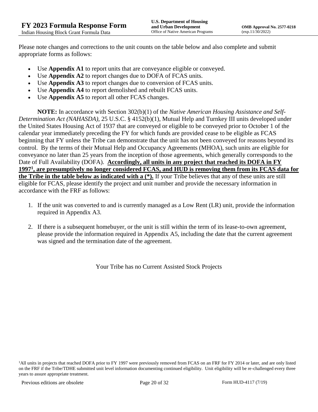Please note changes and corrections to the unit counts on the table below and also complete and submit appropriate forms as follows:

- Use **Appendix A1** to report units that are conveyance eligible or conveyed.
- Use **Appendix A2** to report changes due to DOFA of FCAS units.
- Use **Appendix A3** to report changes due to conversion of FCAS units.
- Use **Appendix A4** to report demolished and rebuilt FCAS units.
- Use **Appendix A5** to report all other FCAS changes.

**NOTE:** In accordance with Section 302(b)(1) of the *Native American Housing Assistance and Self-Determination Act (NAHASDA)*, 25 U.S.C. § 4152(b)(1), Mutual Help and Turnkey III units developed under the United States Housing Act of 1937 that are conveyed or eligible to be conveyed prior to October 1 of the calendar year immediately preceding the FY for which funds are provided cease to be eligible as FCAS beginning that FY unless the Tribe can demonstrate that the unit has not been conveyed for reasons beyond its control. By the terms of their Mutual Help and Occupancy Agreements (MHOA), such units are eligible for conveyance no later than 25 years from the inception of those agreements, which generally corresponds to the Date of Full Availability (DOFA). **Accordingly, all units in any project that reached its DOFA in FY 1997<sup>1</sup> , are presumptively no longer considered FCAS, and HUD is removing them from its FCAS data for the Tribe in the table below as indicated with a (\*).** If your Tribe believes that any of these units are still eligible for FCAS, please identify the project and unit number and provide the necessary information in accordance with the FRF as follows:

- 1. If the unit was converted to and is currently managed as a Low Rent (LR) unit, provide the information required in Appendix A3.
- 2. If there is a subsequent homebuyer, or the unit is still within the term of its lease-to-own agreement, please provide the information required in Appendix A5, including the date that the current agreement was signed and the termination date of the agreement.

Your Tribe has no Current Assisted Stock Projects

<sup>&</sup>lt;sup>1</sup>All units in projects that reached DOFA prior to FY 1997 were previously removed from FCAS on an FRF for FY 2014 or later, and are only listed on the FRF if the Tribe/TDHE submitted unit level information documenting continued eligibility. Unit eligibility will be re-challenged every three years to assure appropriate treatment.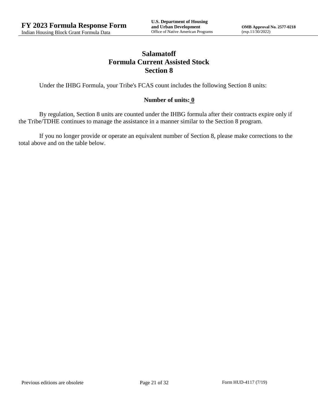# **Salamatoff Formula Current Assisted Stock Section 8**

Under the IHBG Formula, your Tribe's FCAS count includes the following Section 8 units:

### **Number of units: 0**

By regulation, Section 8 units are counted under the IHBG formula after their contracts expire only if the Tribe/TDHE continues to manage the assistance in a manner similar to the Section 8 program.

If you no longer provide or operate an equivalent number of Section 8, please make corrections to the total above and on the table below.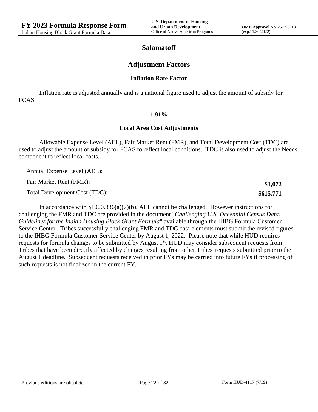**\$1,072 \$615,771**

## **Salamatoff**

### **Adjustment Factors**

#### **Inflation Rate Factor**

Inflation rate is adjusted annually and is a national figure used to adjust the amount of subsidy for FCAS.

#### **1.91%**

#### **Local Area Cost Adjustments**

Allowable Expense Level (AEL), Fair Market Rent (FMR), and Total Development Cost (TDC) are used to adjust the amount of subsidy for FCAS to reflect local conditions. TDC is also used to adjust the Needs component to reflect local costs.

Annual Expense Level (AEL):

Fair Market Rent (FMR):

Total Development Cost (TDC):

In accordance with §1000.336(a)(7)(b), AEL cannot be challenged. However instructions for challenging the FMR and TDC are provided in the document "*Challenging U.S. Decennial Census Data: Guidelines for the Indian Housing Block Grant Formula*" available through the IHBG Formula Customer Service Center. Tribes successfully challenging FMR and TDC data elements must submit the revised figures to the IHBG Formula Customer Service Center by August 1, 2022. Please note that while HUD requires requests for formula changes to be submitted by August 1<sup>st</sup>, HUD may consider subsequent requests from Tribes that have been directly affected by changes resulting from other Tribes' requests submitted prior to the August 1 deadline. Subsequent requests received in prior FYs may be carried into future FYs if processing of such requests is not finalized in the current FY.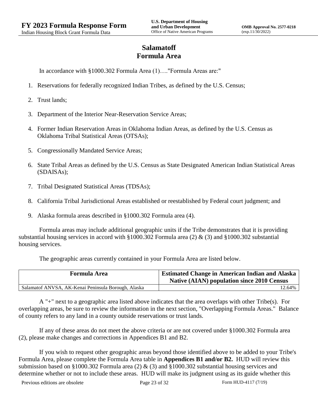# **Salamatoff Formula Area**

In accordance with §1000.302 Formula Area (1)…."Formula Areas are:"

- 1. Reservations for federally recognized Indian Tribes, as defined by the U.S. Census;
- 2. Trust lands;
- 3. Department of the Interior Near-Reservation Service Areas;
- 4. Former Indian Reservation Areas in Oklahoma Indian Areas, as defined by the U.S. Census as Oklahoma Tribal Statistical Areas (OTSAs);
- 5. Congressionally Mandated Service Areas;
- 6. State Tribal Areas as defined by the U.S. Census as State Designated American Indian Statistical Areas (SDAISAs);
- 7. Tribal Designated Statistical Areas (TDSAs);
- 8. California Tribal Jurisdictional Areas established or reestablished by Federal court judgment; and
- 9. Alaska formula areas described in §1000.302 Formula area (4).

Formula areas may include additional geographic units if the Tribe demonstrates that it is providing substantial housing services in accord with §1000.302 Formula area (2) & (3) and §1000.302 substantial housing services.

The geographic areas currently contained in your Formula Area are listed below.

| <b>Formula Area</b>                                 | <b>Estimated Change in American Indian and Alaska</b><br><b>Native (AIAN) population since 2010 Census</b> |
|-----------------------------------------------------|------------------------------------------------------------------------------------------------------------|
| Salamatof ANVSA, AK-Kenai Peninsula Borough, Alaska | 12.64%                                                                                                     |

A "+" next to a geographic area listed above indicates that the area overlaps with other Tribe(s). For overlapping areas, be sure to review the information in the next section, "Overlapping Formula Areas." Balance of county refers to any land in a county outside reservations or trust lands.

If any of these areas do not meet the above criteria or are not covered under §1000.302 Formula area (2), please make changes and corrections in Appendices B1 and B2.

If you wish to request other geographic areas beyond those identified above to be added to your Tribe's Formula Area, please complete the Formula Area table in **Appendices B1 and/or B2.** HUD will review this submission based on §1000.302 Formula area (2)  $\&$  (3) and §1000.302 substantial housing services and determine whether or not to include these areas. HUD will make its judgment using as its guide whether this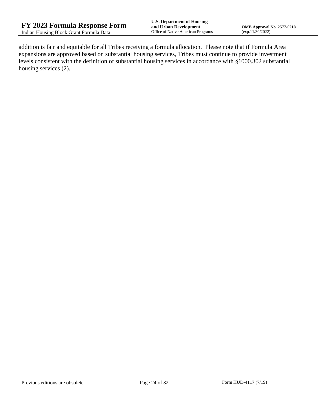addition is fair and equitable for all Tribes receiving a formula allocation. Please note that if Formula Area expansions are approved based on substantial housing services, Tribes must continue to provide investment levels consistent with the definition of substantial housing services in accordance with §1000.302 substantial housing services (2).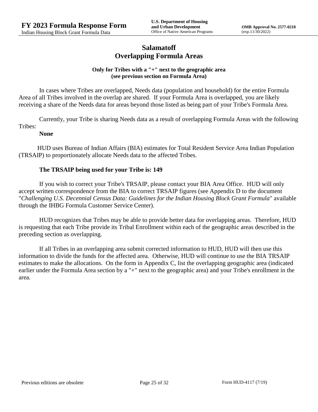## **Salamatoff Overlapping Formula Areas**

### **Only for Tribes with a "+" next to the geographic area (see previous section on Formula Area)**

In cases where Tribes are overlapped, Needs data (population and household) for the entire Formula Area of all Tribes involved in the overlap are shared. If your Formula Area is overlapped, you are likely receiving a share of the Needs data for areas beyond those listed as being part of your Tribe's Formula Area.

Currently, your Tribe is sharing Needs data as a result of overlapping Formula Areas with the following Tribes:

#### **None**

HUD uses Bureau of Indian Affairs (BIA) estimates for Total Resident Service Area Indian Population (TRSAIP) to proportionately allocate Needs data to the affected Tribes.

### **The TRSAIP being used for your Tribe is: 149**

If you wish to correct your Tribe's TRSAIP, please contact your BIA Area Office. HUD will only accept written correspondence from the BIA to correct TRSAIP figures (see Appendix D to the document "*Challenging U.S. Decennial Census Data: Guidelines for the Indian Housing Block Grant Formula*" available through the IHBG Formula Customer Service Center).

HUD recognizes that Tribes may be able to provide better data for overlapping areas. Therefore, HUD is requesting that each Tribe provide its Tribal Enrollment within each of the geographic areas described in the preceding section as overlapping.

If all Tribes in an overlapping area submit corrected information to HUD, HUD will then use this information to divide the funds for the affected area. Otherwise, HUD will continue to use the BIA TRSAIP estimates to make the allocations. On the form in Appendix C, list the overlapping geographic area (indicated earlier under the Formula Area section by a "+" next to the geographic area) and your Tribe's enrollment in the area.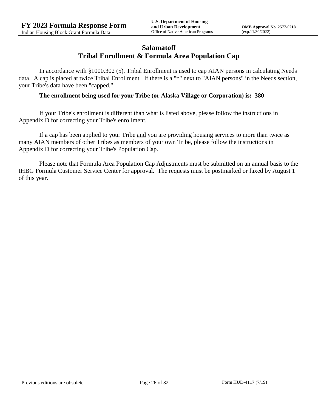## **Salamatoff Tribal Enrollment & Formula Area Population Cap**

In accordance with §1000.302 (5), Tribal Enrollment is used to cap AIAN persons in calculating Needs data. A cap is placed at twice Tribal Enrollment. If there is a "\*" next to "AIAN persons" in the Needs section, your Tribe's data have been "capped."

### **The enrollment being used for your Tribe (or Alaska Village or Corporation) is: 380**

If your Tribe's enrollment is different than what is listed above, please follow the instructions in Appendix D for correcting your Tribe's enrollment.

If a cap has been applied to your Tribe and you are providing housing services to more than twice as many AIAN members of other Tribes as members of your own Tribe, please follow the instructions in Appendix D for correcting your Tribe's Population Cap.

Please note that Formula Area Population Cap Adjustments must be submitted on an annual basis to the IHBG Formula Customer Service Center for approval. The requests must be postmarked or faxed by August 1 of this year.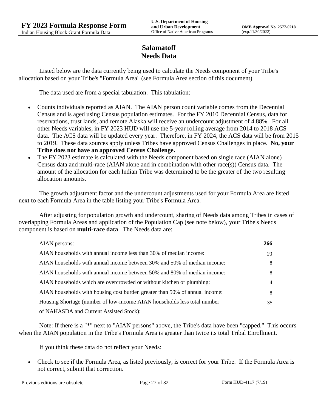# **Salamatoff Needs Data**

Listed below are the data currently being used to calculate the Needs component of your Tribe's allocation based on your Tribe's "Formula Area" (see Formula Area section of this document).

The data used are from a special tabulation. This tabulation:

- Counts individuals reported as AIAN. The AIAN person count variable comes from the Decennial Census and is aged using Census population estimates. For the FY 2010 Decennial Census, data for reservations, trust lands, and remote Alaska will receive an undercount adjustment of 4.88%. For all other Needs variables, in FY 2023 HUD will use the 5-year rolling average from 2014 to 2018 ACS data. The ACS data will be updated every year. Therefore, in FY 2024, the ACS data will be from 2015 to 2019. These data sources apply unless Tribes have approved Census Challenges in place. **No, your Tribe does not have an approved Census Challenge.**
- The FY 2023 estimate is calculated with the Needs component based on single race (AIAN alone) Census data and multi-race (AIAN alone and in combination with other race(s)) Census data. The amount of the allocation for each Indian Tribe was determined to be the greater of the two resulting allocation amounts.

The growth adjustment factor and the undercount adjustments used for your Formula Area are listed next to each Formula Area in the table listing your Tribe's Formula Area.

After adjusting for population growth and undercount, sharing of Needs data among Tribes in cases of overlapping Formula Areas and application of the Population Cap (see note below), your Tribe's Needs component is based on **multi-race data**. The Needs data are:

| AIAN persons:                                                               | 266 |
|-----------------------------------------------------------------------------|-----|
| AIAN households with annual income less than 30% of median income:          | 19  |
| AIAN households with annual income between 30% and 50% of median income:    | 8   |
| AIAN households with annual income between 50% and 80% of median income:    | 8   |
| AIAN households which are overcrowded or without kitchen or plumbing:       | 4   |
| AIAN households with housing cost burden greater than 50% of annual income: | 8   |
| Housing Shortage (number of low-income AIAN households less total number    | 35  |
| of NAHASDA and Current Assisted Stock):                                     |     |

Note: If there is a "\*" next to "AIAN persons" above, the Tribe's data have been "capped." This occurs when the AIAN population in the Tribe's Formula Area is greater than twice its total Tribal Enrollment.

If you think these data do not reflect your Needs:

 Check to see if the Formula Area, as listed previously, is correct for your Tribe. If the Formula Area is not correct, submit that correction.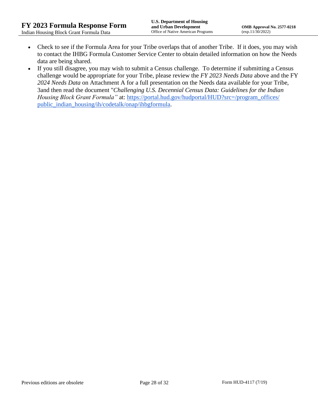- Check to see if the Formula Area for your Tribe overlaps that of another Tribe. If it does, you may wish to contact the IHBG Formula Customer Service Center to obtain detailed information on how the Needs data are being shared.
- If you still disagree, you may wish to submit a Census challenge. To determine if submitting a Census challenge would be appropriate for your Tribe, please review the *FY 2023 Needs Data* above and the FY *2024 Needs Data* on Attachment A for a full presentation on the Needs data available for your Tribe, 3and then read the document "*Challenging U.S. Decennial Census Data: Guidelines for the Indian Housing Block Grant Formula*" at: https://portal.hud.gov/hudportal/HUD?src=/program\_offices/ [public\\_indian\\_housing/ih/codetalk/onap/ihbgformula.](https://portal.hud.gov/hudportal/HUD?src=/program_offices/public_indian_housing/ih/codetalk/onap/ihbgformula)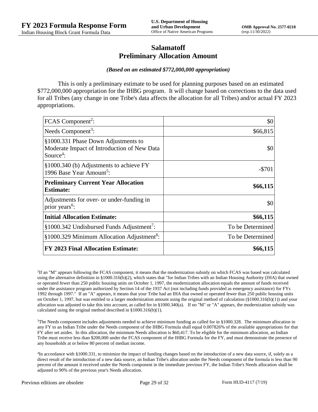## **Salamatoff Preliminary Allocation Amount**

#### *(Based on an estimated \$772,000,000 appropriation)*

This is only a preliminary estimate to be used for planning purposes based on an estimated \$772,000,000 appropriation for the IHBG program. It will change based on corrections to the data used for all Tribes (any change in one Tribe's data affects the allocation for all Tribes) and/or actual FY 2023 appropriations.

| FCAS Component <sup>2</sup> :                                                                               | \$0              |
|-------------------------------------------------------------------------------------------------------------|------------------|
| Needs Component <sup>3</sup> :                                                                              | \$66,815         |
| §1000.331 Phase Down Adjustments to<br>Moderate Impact of Introduction of New Data<br>Source <sup>4</sup> : | \$0              |
| §1000.340 (b) Adjustments to achieve FY<br>1996 Base Year Amount <sup>5</sup> :                             | $-$ \$701        |
| <b>Preliminary Current Year Allocation</b><br><b>Estimate:</b>                                              | \$66,115         |
| Adjustments for over- or under-funding in<br>prior years <sup>6</sup> :                                     | \$0              |
| <b>Initial Allocation Estimate:</b>                                                                         | \$66,115         |
| $§1000.342$ Undisbursed Funds Adjustment <sup>7</sup> :                                                     | To be Determined |
| §1000.329 Minimum Allocation Adjustment <sup>8</sup> :                                                      | To be Determined |
| <b>FY 2023 Final Allocation Estimate:</b>                                                                   | \$66,115         |

2 If an "M" appears following the FCAS component, it means that the modernization subsidy on which FCAS was based was calculated using the alternative definition in §1000.316(b)(2), which states that "for Indian Tribes with an Indian Housing Authority (IHA) that owned or operated fewer than 250 public housing units on October 1, 1997, the modernization allocation equals the amount of funds received under the assistance program authorized by Section 14 of the 1937 Act (not including funds provided as emergency assistance) for FYs 1992 through 1997." If an "A" appears, it means that your Tribe had an IHA that owned or operated fewer than 250 public housing units on October 1, 1997, but was entitled to a larger modernization amount using the original method of calculation  $(\frac{81000.316(b)(1)}{2000.316(b)(1)})$  and your allocation was adjusted to take this into account, as called for in  $\S1000.340(a)$ . If no "M" or "A" appears, the modernization subsidy was calculated using the original method described in §1000.316(b)(1).

<sup>3</sup>The Needs component includes adjustments needed to achieve minimum funding as called for in §1000.328. The minimum allocation in any FY to an Indian Tribe under the Needs component of the IHBG Formula shall equal 0.007826% of the available appropriations for that FY after set asides. In this allocation, the minimum Needs allocation is \$60,417. To be eligible for the minimum allocation, an Indian Tribe must receive less than \$200,000 under the FCAS component of the IHBG Formula for the FY, and must demonstrate the presence of any households at or below 80 percent of median income.

<sup>4</sup>In accordance with §1000.331, to minimize the impact of funding changes based on the introduction of a new data source, if, solely as a direct result of the introduction of a new data source, an Indian Tribe's allocation under the Needs component of the formula is less than 90 percent of the amount it received under the Needs component in the immediate previous FY, the Indian Tribe's Needs allocation shall be adjusted to 90% of the previous year's Needs allocation.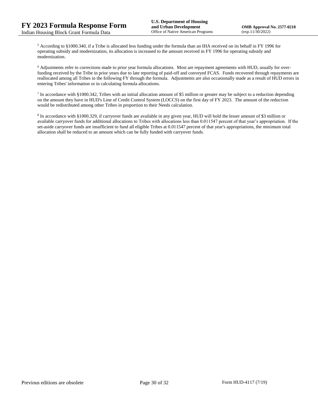<sup>5</sup> According to §1000.340, if a Tribe is allocated less funding under the formula than an IHA received on its behalf in FY 1996 for operating subsidy and modernization, its allocation is increased to the amount received in FY 1996 for operating subsidy and modernization.

<sup>6</sup> Adjustments refer to corrections made to prior year formula allocations. Most are repayment agreements with HUD, usually for overfunding received by the Tribe in prior years due to late reporting of paid-off and conveyed FCAS. Funds recovered through repayments are reallocated among all Tribes in the following FY through the formula. Adjustments are also occasionally made as a result of HUD errors in entering Tribes' information or in calculating formula allocations.

 $^7$  In accordance with §1000.342, Tribes with an initial allocation amount of \$5 million or greater may be subject to a reduction depending on the amount they have in HUD's Line of Credit Control System (LOCCS) on the first day of FY 2023. The amount of the reduction would be redistributed among other Tribes in proportion to their Needs calculation.

<sup>8</sup> In accordance with §1000.329, if carryover funds are available in any given year, HUD will hold the lesser amount of \$3 million or available carryover funds for additional allocations to Tribes with allocations less than 0.011547 percent of that year's appropriation. If the set-aside carryover funds are insufficient to fund all eligible Tribes at 0.011547 percent of that year's appropriations, the minimum total allocation shall be reduced to an amount which can be fully funded with carryover funds.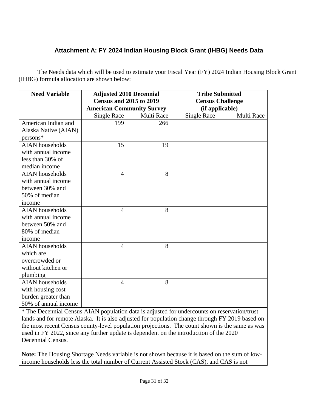# **Attachment A: FY 2024 Indian Housing Block Grant (IHBG) Needs Data**

The Needs data which will be used to estimate your Fiscal Year (FY) 2024 Indian Housing Block Grant (IHBG) formula allocation are shown below:

| <b>Need Variable</b>   | <b>Adjusted 2010 Decennial</b>   |            | <b>Tribe Submitted</b>  |            |
|------------------------|----------------------------------|------------|-------------------------|------------|
|                        | <b>Census and 2015 to 2019</b>   |            | <b>Census Challenge</b> |            |
|                        | <b>American Community Survey</b> |            | (if applicable)         |            |
|                        | <b>Single Race</b>               | Multi Race | <b>Single Race</b>      | Multi Race |
| American Indian and    | 199                              | 266        |                         |            |
| Alaska Native (AIAN)   |                                  |            |                         |            |
| $persons*$             |                                  |            |                         |            |
| <b>AIAN</b> households | 15                               | 19         |                         |            |
| with annual income     |                                  |            |                         |            |
| less than 30% of       |                                  |            |                         |            |
| median income          |                                  |            |                         |            |
| <b>AIAN</b> households | $\overline{4}$                   | 8          |                         |            |
| with annual income     |                                  |            |                         |            |
| between 30% and        |                                  |            |                         |            |
| 50% of median          |                                  |            |                         |            |
| income                 |                                  |            |                         |            |
| <b>AIAN</b> households | 4                                | 8          |                         |            |
| with annual income     |                                  |            |                         |            |
| between 50% and        |                                  |            |                         |            |
| 80% of median          |                                  |            |                         |            |
| income                 |                                  |            |                         |            |
| <b>AIAN</b> households | $\overline{4}$                   | 8          |                         |            |
| which are              |                                  |            |                         |            |
| overcrowded or         |                                  |            |                         |            |
| without kitchen or     |                                  |            |                         |            |
| plumbing               |                                  |            |                         |            |
| <b>AIAN</b> households | 4                                | 8          |                         |            |
| with housing cost      |                                  |            |                         |            |
| burden greater than    |                                  |            |                         |            |
| 50% of annual income   |                                  |            |                         |            |

\* The Decennial Census AIAN population data is adjusted for undercounts on reservation/trust lands and for remote Alaska. It is also adjusted for population change through FY 2019 based on the most recent Census county-level population projections. The count shown is the same as was used in FY 2022, since any further update is dependent on the introduction of the 2020 Decennial Census.

**Note:** The Housing Shortage Needs variable is not shown because it is based on the sum of lowincome households less the total number of Current Assisted Stock (CAS), and CAS is not